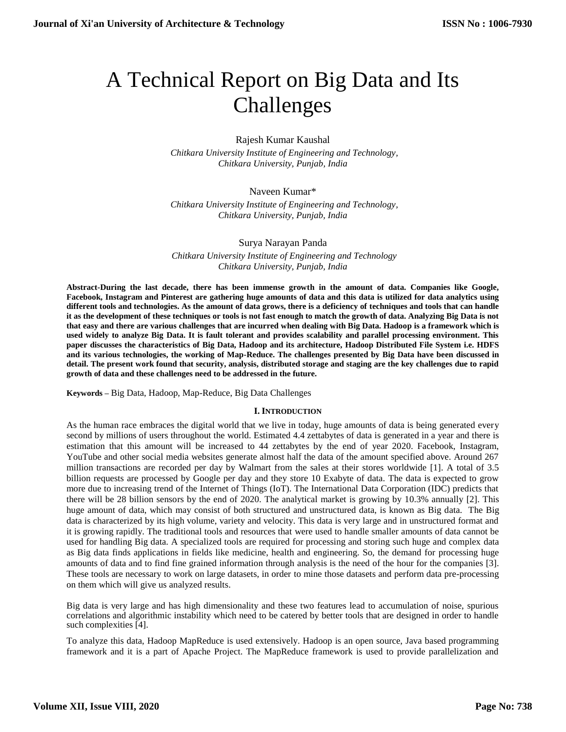# A Technical Report on Big Data and Its Challenges

Rajesh Kumar Kaushal

 *Chitkara University Institute of Engineering and Technology, Chitkara University, Punjab, India*

## Naveen Kumar\*

 *Chitkara University Institute of Engineering and Technology, Chitkara University, Punjab, India*

### Surya Narayan Panda

 *Chitkara University Institute of Engineering and Technology Chitkara University, Punjab, India*

**Abstract-During the last decade, there has been immense growth in the amount of data. Companies like Google, Facebook, Instagram and Pinterest are gathering huge amounts of data and this data is utilized for data analytics using different tools and technologies. As the amount of data grows, there is a deficiency of techniques and tools that can handle it as the development of these techniques or tools is not fast enough to match the growth of data. Analyzing Big Data is not that easy and there are various challenges that are incurred when dealing with Big Data. Hadoop is a framework which is used widely to analyze Big Data. It is fault tolerant and provides scalability and parallel processing environment. This paper discusses the characteristics of Big Data, Hadoop and its architecture, Hadoop Distributed File System i.e. HDFS and its various technologies, the working of Map-Reduce. The challenges presented by Big Data have been discussed in detail. The present work found that security, analysis, distributed storage and staging are the key challenges due to rapid growth of data and these challenges need to be addressed in the future.**

**Keywords –** Big Data, Hadoop, Map-Reduce, Big Data Challenges

#### **I. INTRODUCTION**

As the human race embraces the digital world that we live in today, huge amounts of data is being generated every second by millions of users throughout the world. Estimated 4.4 zettabytes of data is generated in a year and there is estimation that this amount will be increased to 44 zettabytes by the end of year 2020. Facebook, Instagram, YouTube and other social media websites generate almost half the data of the amount specified above. Around 267 million transactions are recorded per day by Walmart from the sales at their stores worldwide [1]. A total of 3.5 billion requests are processed by Google per day and they store 10 Exabyte of data. The data is expected to grow more due to increasing trend of the Internet of Things (IoT). The International Data Corporation (IDC) predicts that there will be 28 billion sensors by the end of 2020. The analytical market is growing by 10.3% annually [2]. This huge amount of data, which may consist of both structured and unstructured data, is known as Big data. The Big data is characterized by its high volume, variety and velocity. This data is very large and in unstructured format and it is growing rapidly. The traditional tools and resources that were used to handle smaller amounts of data cannot be used for handling Big data. A specialized tools are required for processing and storing such huge and complex data as Big data finds applications in fields like medicine, health and engineering. So, the demand for processing huge amounts of data and to find fine grained information through analysis is the need of the hour for the companies [3]. These tools are necessary to work on large datasets, in order to mine those datasets and perform data pre-processing on them which will give us analyzed results.

Big data is very large and has high dimensionality and these two features lead to accumulation of noise, spurious correlations and algorithmic instability which need to be catered by better tools that are designed in order to handle such complexities [4].

To analyze this data, Hadoop MapReduce is used extensively. Hadoop is an open source, Java based programming framework and it is a part of Apache Project. The MapReduce framework is used to provide parallelization and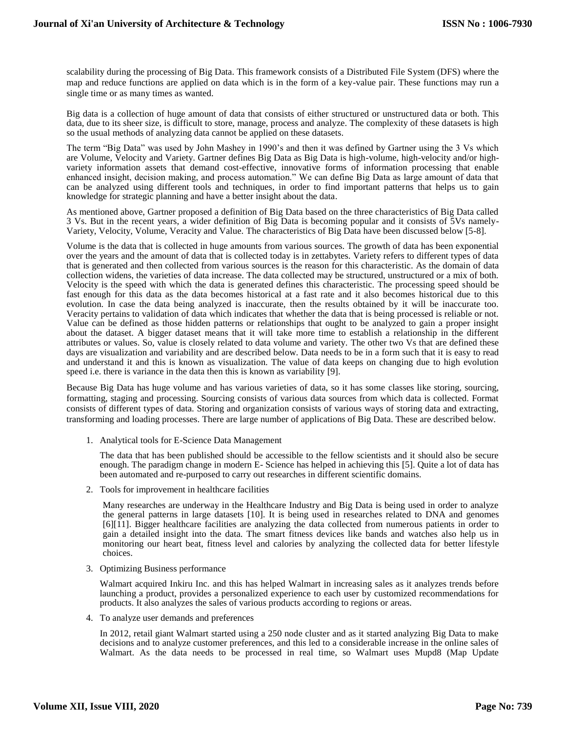scalability during the processing of Big Data. This framework consists of a Distributed File System (DFS) where the map and reduce functions are applied on data which is in the form of a key-value pair. These functions may run a single time or as many times as wanted.

Big data is a collection of huge amount of data that consists of either structured or unstructured data or both. This data, due to its sheer size, is difficult to store, manage, process and analyze. The complexity of these datasets is high so the usual methods of analyzing data cannot be applied on these datasets.

The term "Big Data" was used by John Mashey in 1990's and then it was defined by Gartner using the 3 Vs which are Volume, Velocity and Variety. Gartner defines Big Data as Big Data is high-volume, high-velocity and/or highvariety information assets that demand cost-effective, innovative forms of information processing that enable enhanced insight, decision making, and process automation." We can define Big Data as large amount of data that can be analyzed using different tools and techniques, in order to find important patterns that helps us to gain knowledge for strategic planning and have a better insight about the data.

As mentioned above, Gartner proposed a definition of Big Data based on the three characteristics of Big Data called 3 Vs. But in the recent years, a wider definition of Big Data is becoming popular and it consists of 5Vs namely-Variety, Velocity, Volume, Veracity and Value. The characteristics of Big Data have been discussed below [5-8].

Volume is the data that is collected in huge amounts from various sources. The growth of data has been exponential over the years and the amount of data that is collected today is in zettabytes. Variety refers to different types of data that is generated and then collected from various sources is the reason for this characteristic. As the domain of data collection widens, the varieties of data increase. The data collected may be structured, unstructured or a mix of both. Velocity is the speed with which the data is generated defines this characteristic. The processing speed should be fast enough for this data as the data becomes historical at a fast rate and it also becomes historical due to this evolution. In case the data being analyzed is inaccurate, then the results obtained by it will be inaccurate too. Veracity pertains to validation of data which indicates that whether the data that is being processed is reliable or not. Value can be defined as those hidden patterns or relationships that ought to be analyzed to gain a proper insight about the dataset. A bigger dataset means that it will take more time to establish a relationship in the different attributes or values. So, value is closely related to data volume and variety. The other two Vs that are defined these days are visualization and variability and are described below. Data needs to be in a form such that it is easy to read and understand it and this is known as visualization. The value of data keeps on changing due to high evolution speed i.e. there is variance in the data then this is known as variability [9].

Because Big Data has huge volume and has various varieties of data, so it has some classes like storing, sourcing, formatting, staging and processing. Sourcing consists of various data sources from which data is collected. Format consists of different types of data. Storing and organization consists of various ways of storing data and extracting, transforming and loading processes. There are large number of applications of Big Data. These are described below.

1. Analytical tools for E-Science Data Management

The data that has been published should be accessible to the fellow scientists and it should also be secure enough. The paradigm change in modern E- Science has helped in achieving this [5]. Quite a lot of data has been automated and re-purposed to carry out researches in different scientific domains.

2. Tools for improvement in healthcare facilities

Many researches are underway in the Healthcare Industry and Big Data is being used in order to analyze the general patterns in large datasets [10]. It is being used in researches related to DNA and genomes [6][11]. Bigger healthcare facilities are analyzing the data collected from numerous patients in order to gain a detailed insight into the data. The smart fitness devices like bands and watches also help us in monitoring our heart beat, fitness level and calories by analyzing the collected data for better lifestyle choices.

3. Optimizing Business performance

Walmart acquired Inkiru Inc. and this has helped Walmart in increasing sales as it analyzes trends before launching a product, provides a personalized experience to each user by customized recommendations for products. It also analyzes the sales of various products according to regions or areas.

4. To analyze user demands and preferences

In 2012, retail giant Walmart started using a 250 node cluster and as it started analyzing Big Data to make decisions and to analyze customer preferences, and this led to a considerable increase in the online sales of Walmart. As the data needs to be processed in real time, so Walmart uses Mupd8 (Map Update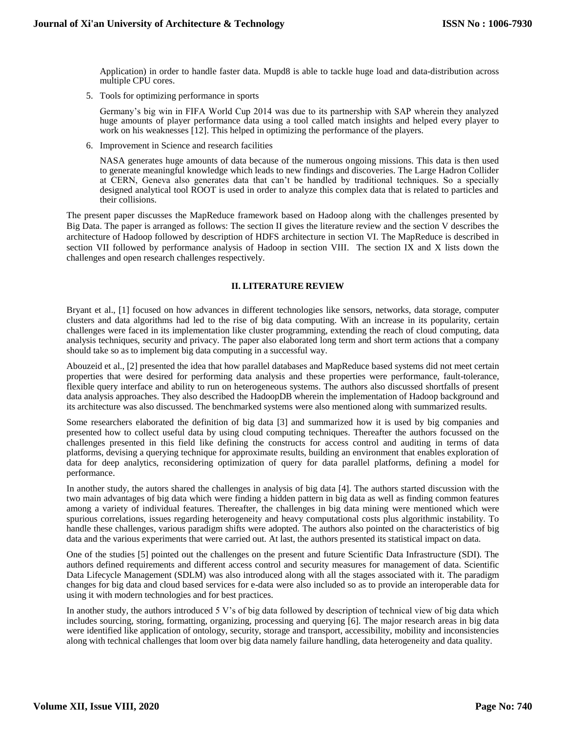Application) in order to handle faster data. Mupd8 is able to tackle huge load and data-distribution across multiple CPU cores.

5. Tools for optimizing performance in sports

Germany's big win in FIFA World Cup 2014 was due to its partnership with SAP wherein they analyzed huge amounts of player performance data using a tool called match insights and helped every player to work on his weaknesses [12]. This helped in optimizing the performance of the players.

6. Improvement in Science and research facilities

NASA generates huge amounts of data because of the numerous ongoing missions. This data is then used to generate meaningful knowledge which leads to new findings and discoveries. The Large Hadron Collider at CERN, Geneva also generates data that can't be handled by traditional techniques. So a specially designed analytical tool ROOT is used in order to analyze this complex data that is related to particles and their collisions.

The present paper discusses the MapReduce framework based on Hadoop along with the challenges presented by Big Data. The paper is arranged as follows: The section II gives the literature review and the section V describes the architecture of Hadoop followed by description of HDFS architecture in section VI. The MapReduce is described in section VII followed by performance analysis of Hadoop in section VIII. The section IX and X lists down the challenges and open research challenges respectively.

# **II. LITERATURE REVIEW**

Bryant et al., [1] focused on how advances in different technologies like sensors, networks, data storage, computer clusters and data algorithms had led to the rise of big data computing. With an increase in its popularity, certain challenges were faced in its implementation like cluster programming, extending the reach of cloud computing, data analysis techniques, security and privacy. The paper also elaborated long term and short term actions that a company should take so as to implement big data computing in a successful way.

Abouzeid et al., [2] presented the idea that how parallel databases and MapReduce based systems did not meet certain properties that were desired for performing data analysis and these properties were performance, fault-tolerance, flexible query interface and ability to run on heterogeneous systems. The authors also discussed shortfalls of present data analysis approaches. They also described the HadoopDB wherein the implementation of Hadoop background and its architecture was also discussed. The benchmarked systems were also mentioned along with summarized results.

Some researchers elaborated the definition of big data [3] and summarized how it is used by big companies and presented how to collect useful data by using cloud computing techniques. Thereafter the authors focussed on the challenges presented in this field like defining the constructs for access control and auditing in terms of data platforms, devising a querying technique for approximate results, building an environment that enables exploration of data for deep analytics, reconsidering optimization of query for data parallel platforms, defining a model for performance.

In another study, the autors shared the challenges in analysis of big data [4]. The authors started discussion with the two main advantages of big data which were finding a hidden pattern in big data as well as finding common features among a variety of individual features. Thereafter, the challenges in big data mining were mentioned which were spurious correlations, issues regarding heterogeneity and heavy computational costs plus algorithmic instability. To handle these challenges, various paradigm shifts were adopted. The authors also pointed on the characteristics of big data and the various experiments that were carried out. At last, the authors presented its statistical impact on data.

One of the studies [5] pointed out the challenges on the present and future Scientific Data Infrastructure (SDI). The authors defined requirements and different access control and security measures for management of data. Scientific Data Lifecycle Management (SDLM) was also introduced along with all the stages associated with it. The paradigm changes for big data and cloud based services for e-data were also included so as to provide an interoperable data for using it with modern technologies and for best practices.

In another study, the authors introduced 5 V's of big data followed by description of technical view of big data which includes sourcing, storing, formatting, organizing, processing and querying [6]. The major research areas in big data were identified like application of ontology, security, storage and transport, accessibility, mobility and inconsistencies along with technical challenges that loom over big data namely failure handling, data heterogeneity and data quality.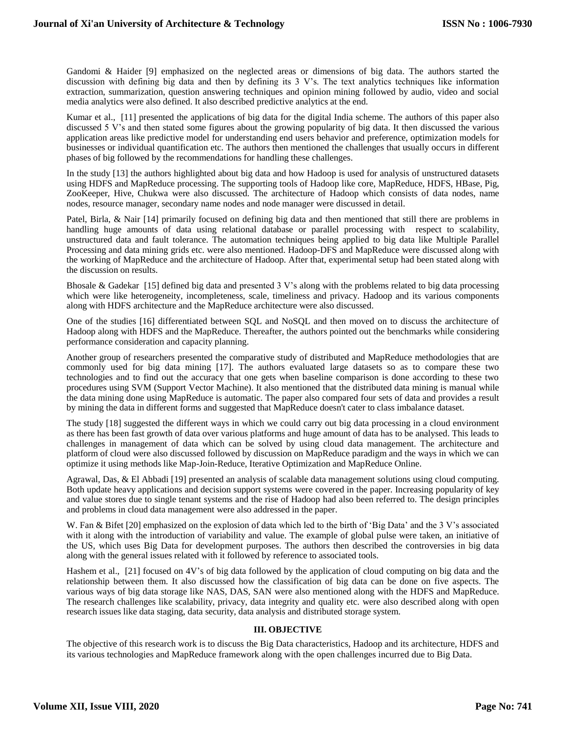Gandomi & Haider [9] emphasized on the neglected areas or dimensions of big data. The authors started the discussion with defining big data and then by defining its 3 V's. The text analytics techniques like information extraction, summarization, question answering techniques and opinion mining followed by audio, video and social media analytics were also defined. It also described predictive analytics at the end.

Kumar et al., [11] presented the applications of big data for the digital India scheme. The authors of this paper also discussed 5 V's and then stated some figures about the growing popularity of big data. It then discussed the various application areas like predictive model for understanding end users behavior and preference, optimization models for businesses or individual quantification etc. The authors then mentioned the challenges that usually occurs in different phases of big followed by the recommendations for handling these challenges.

In the study [13] the authors highlighted about big data and how Hadoop is used for analysis of unstructured datasets using HDFS and MapReduce processing. The supporting tools of Hadoop like core, MapReduce, HDFS, HBase, Pig, ZooKeeper, Hive, Chukwa were also discussed. The architecture of Hadoop which consists of data nodes, name nodes, resource manager, secondary name nodes and node manager were discussed in detail.

Patel, Birla, & Nair [14] primarily focused on defining big data and then mentioned that still there are problems in handling huge amounts of data using relational database or parallel processing with respect to scalability, unstructured data and fault tolerance. The automation techniques being applied to big data like Multiple Parallel Processing and data mining grids etc. were also mentioned. Hadoop-DFS and MapReduce were discussed along with the working of MapReduce and the architecture of Hadoop. After that, experimental setup had been stated along with the discussion on results.

Bhosale & Gadekar [15] defined big data and presented 3 V's along with the problems related to big data processing which were like heterogeneity, incompleteness, scale, timeliness and privacy. Hadoop and its various components along with HDFS architecture and the MapReduce architecture were also discussed.

One of the studies [16] differentiated between SQL and NoSQL and then moved on to discuss the architecture of Hadoop along with HDFS and the MapReduce. Thereafter, the authors pointed out the benchmarks while considering performance consideration and capacity planning.

Another group of researchers presented the comparative study of distributed and MapReduce methodologies that are commonly used for big data mining [17]. The authors evaluated large datasets so as to compare these two technologies and to find out the accuracy that one gets when baseline comparison is done according to these two procedures using SVM (Support Vector Machine). It also mentioned that the distributed data mining is manual while the data mining done using MapReduce is automatic. The paper also compared four sets of data and provides a result by mining the data in different forms and suggested that MapReduce doesn't cater to class imbalance dataset.

The study [18] suggested the different ways in which we could carry out big data processing in a cloud environment as there has been fast growth of data over various platforms and huge amount of data has to be analysed. This leads to challenges in management of data which can be solved by using cloud data management. The architecture and platform of cloud were also discussed followed by discussion on MapReduce paradigm and the ways in which we can optimize it using methods like Map-Join-Reduce, Iterative Optimization and MapReduce Online.

Agrawal, Das, & El Abbadi [19] presented an analysis of scalable data management solutions using cloud computing. Both update heavy applications and decision support systems were covered in the paper. Increasing popularity of key and value stores due to single tenant systems and the rise of Hadoop had also been referred to. The design principles and problems in cloud data management were also addressed in the paper.

W. Fan & Bifet [20] emphasized on the explosion of data which led to the birth of 'Big Data' and the 3 V's associated with it along with the introduction of variability and value. The example of global pulse were taken, an initiative of the US, which uses Big Data for development purposes. The authors then described the controversies in big data along with the general issues related with it followed by reference to associated tools.

Hashem et al., [21] focused on 4V's of big data followed by the application of cloud computing on big data and the relationship between them. It also discussed how the classification of big data can be done on five aspects. The various ways of big data storage like NAS, DAS, SAN were also mentioned along with the HDFS and MapReduce. The research challenges like scalability, privacy, data integrity and quality etc. were also described along with open research issues like data staging, data security, data analysis and distributed storage system.

# **III. OBJECTIVE**

The objective of this research work is to discuss the Big Data characteristics, Hadoop and its architecture, HDFS and its various technologies and MapReduce framework along with the open challenges incurred due to Big Data.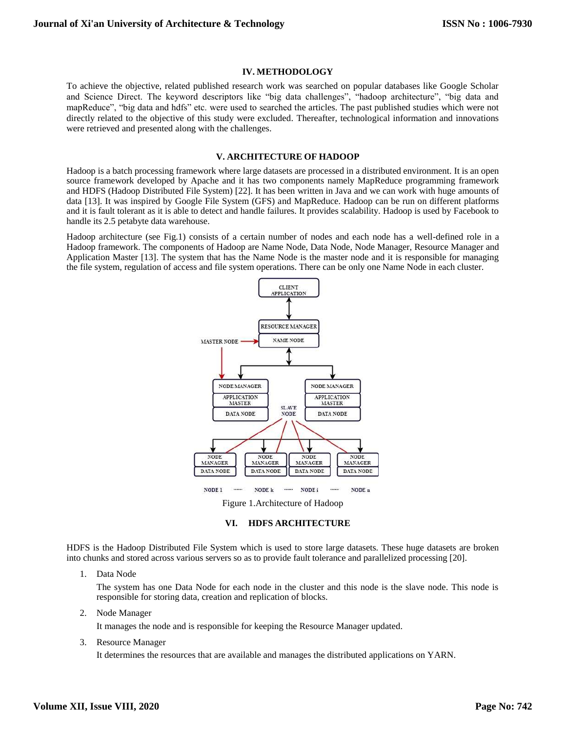## **IV. METHODOLOGY**

To achieve the objective, related published research work was searched on popular databases like Google Scholar and Science Direct. The keyword descriptors like "big data challenges", "hadoop architecture", "big data and mapReduce", "big data and hdfs" etc. were used to searched the articles. The past published studies which were not directly related to the objective of this study were excluded. Thereafter, technological information and innovations were retrieved and presented along with the challenges.

## **V. ARCHITECTURE OF HADOOP**

Hadoop is a batch processing framework where large datasets are processed in a distributed environment. It is an open source framework developed by Apache and it has two components namely MapReduce programming framework and HDFS (Hadoop Distributed File System) [22]. It has been written in Java and we can work with huge amounts of data [13]. It was inspired by Google File System (GFS) and MapReduce. Hadoop can be run on different platforms and it is fault tolerant as it is able to detect and handle failures. It provides scalability. Hadoop is used by Facebook to handle its 2.5 petabyte data warehouse.

Hadoop architecture (see Fig.1) consists of a certain number of nodes and each node has a well-defined role in a Hadoop framework. The components of Hadoop are Name Node, Data Node, Node Manager, Resource Manager and Application Master [13]. The system that has the Name Node is the master node and it is responsible for managing the file system, regulation of access and file system operations. There can be only one Name Node in each cluster.



Figure 1.Architecture of Hadoop

#### **VI. HDFS ARCHITECTURE**

HDFS is the Hadoop Distributed File System which is used to store large datasets. These huge datasets are broken into chunks and stored across various servers so as to provide fault tolerance and parallelized processing [20].

1. Data Node

The system has one Data Node for each node in the cluster and this node is the slave node. This node is responsible for storing data, creation and replication of blocks.

2. Node Manager

It manages the node and is responsible for keeping the Resource Manager updated.

3. Resource Manager

It determines the resources that are available and manages the distributed applications on YARN.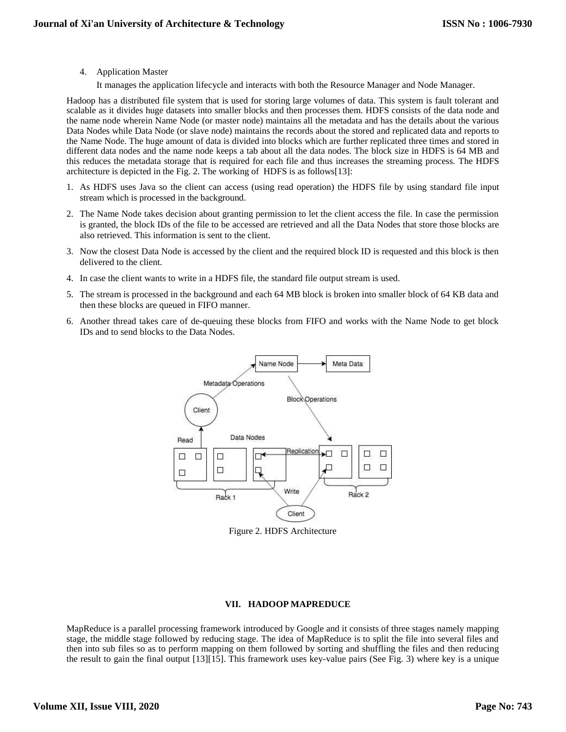4. Application Master

It manages the application lifecycle and interacts with both the Resource Manager and Node Manager.

Hadoop has a distributed file system that is used for storing large volumes of data. This system is fault tolerant and scalable as it divides huge datasets into smaller blocks and then processes them. HDFS consists of the data node and the name node wherein Name Node (or master node) maintains all the metadata and has the details about the various Data Nodes while Data Node (or slave node) maintains the records about the stored and replicated data and reports to the Name Node. The huge amount of data is divided into blocks which are further replicated three times and stored in different data nodes and the name node keeps a tab about all the data nodes. The block size in HDFS is 64 MB and this reduces the metadata storage that is required for each file and thus increases the streaming process. The HDFS architecture is depicted in the Fig. 2. The working of HDFS is as follows[13]:

- 1. As HDFS uses Java so the client can access (using read operation) the HDFS file by using standard file input stream which is processed in the background.
- 2. The Name Node takes decision about granting permission to let the client access the file. In case the permission is granted, the block IDs of the file to be accessed are retrieved and all the Data Nodes that store those blocks are also retrieved. This information is sent to the client.
- 3. Now the closest Data Node is accessed by the client and the required block ID is requested and this block is then delivered to the client.
- 4. In case the client wants to write in a HDFS file, the standard file output stream is used.
- 5. The stream is processed in the background and each 64 MB block is broken into smaller block of 64 KB data and then these blocks are queued in FIFO manner.
- 6. Another thread takes care of de-queuing these blocks from FIFO and works with the Name Node to get block IDs and to send blocks to the Data Nodes.



Figure 2. HDFS Architecture

# **VII. HADOOP MAPREDUCE**

MapReduce is a parallel processing framework introduced by Google and it consists of three stages namely mapping stage, the middle stage followed by reducing stage. The idea of MapReduce is to split the file into several files and then into sub files so as to perform mapping on them followed by sorting and shuffling the files and then reducing the result to gain the final output [13][15]. This framework uses key-value pairs (See Fig. 3) where key is a unique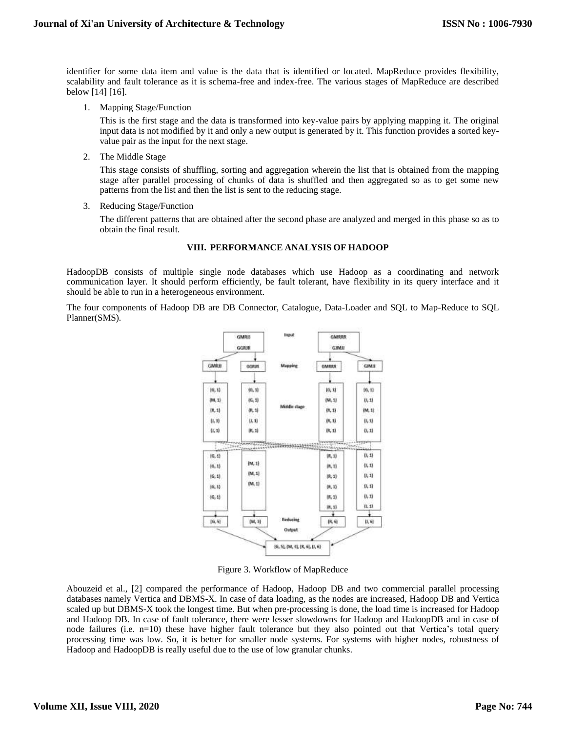identifier for some data item and value is the data that is identified or located. MapReduce provides flexibility, scalability and fault tolerance as it is schema-free and index-free. The various stages of MapReduce are described below [14] [16].

1. Mapping Stage/Function

This is the first stage and the data is transformed into key-value pairs by applying mapping it. The original input data is not modified by it and only a new output is generated by it. This function provides a sorted keyvalue pair as the input for the next stage.

2. The Middle Stage

This stage consists of shuffling, sorting and aggregation wherein the list that is obtained from the mapping stage after parallel processing of chunks of data is shuffled and then aggregated so as to get some new patterns from the list and then the list is sent to the reducing stage.

3. Reducing Stage/Function

The different patterns that are obtained after the second phase are analyzed and merged in this phase so as to obtain the final result.

## **VIII. PERFORMANCE ANALYSIS OF HADOOP**

HadoopDB consists of multiple single node databases which use Hadoop as a coordinating and network communication layer. It should perform efficiently, be fault tolerant, have flexibility in its query interface and it should be able to run in a heterogeneous environment.

The four components of Hadoop DB are DB Connector, Catalogue, Data-Loader and SQL to Map-Reduce to SQL Planner(SMS).



Figure 3. Workflow of MapReduce

Abouzeid et al., [2] compared the performance of Hadoop, Hadoop DB and two commercial parallel processing databases namely Vertica and DBMS-X. In case of data loading, as the nodes are increased, Hadoop DB and Vertica scaled up but DBMS-X took the longest time. But when pre-processing is done, the load time is increased for Hadoop and Hadoop DB. In case of fault tolerance, there were lesser slowdowns for Hadoop and HadoopDB and in case of node failures (i.e. n=10) these have higher fault tolerance but they also pointed out that Vertica's total query processing time was low. So, it is better for smaller node systems. For systems with higher nodes, robustness of Hadoop and HadoopDB is really useful due to the use of low granular chunks.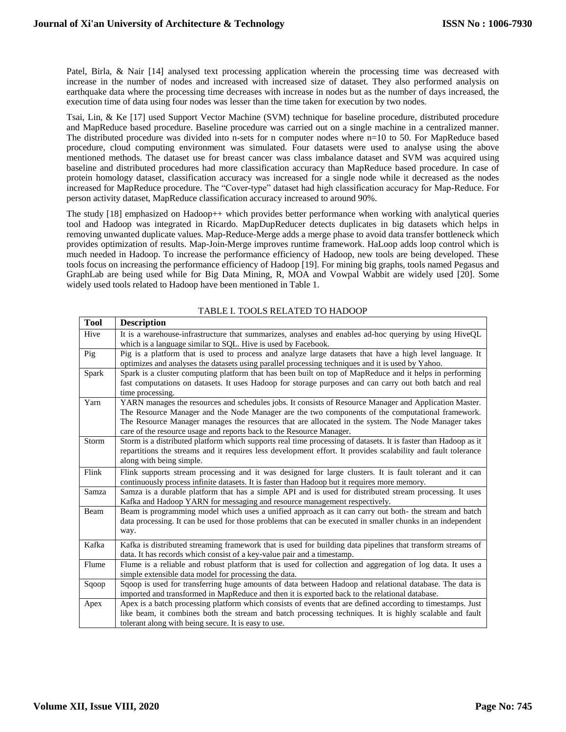Patel, Birla, & Nair [14] analysed text processing application wherein the processing time was decreased with increase in the number of nodes and increased with increased size of dataset. They also performed analysis on earthquake data where the processing time decreases with increase in nodes but as the number of days increased, the execution time of data using four nodes was lesser than the time taken for execution by two nodes.

Tsai, Lin, & Ke [17] used Support Vector Machine (SVM) technique for baseline procedure, distributed procedure and MapReduce based procedure. Baseline procedure was carried out on a single machine in a centralized manner. The distributed procedure was divided into n-sets for n computer nodes where n=10 to 50. For MapReduce based procedure, cloud computing environment was simulated. Four datasets were used to analyse using the above mentioned methods. The dataset use for breast cancer was class imbalance dataset and SVM was acquired using baseline and distributed procedures had more classification accuracy than MapReduce based procedure. In case of protein homology dataset, classification accuracy was increased for a single node while it decreased as the nodes increased for MapReduce procedure. The "Cover-type" dataset had high classification accuracy for Map-Reduce. For person activity dataset, MapReduce classification accuracy increased to around 90%.

The study [18] emphasized on Hadoop++ which provides better performance when working with analytical queries tool and Hadoop was integrated in Ricardo. MapDupReducer detects duplicates in big datasets which helps in removing unwanted duplicate values. Map-Reduce-Merge adds a merge phase to avoid data transfer bottleneck which provides optimization of results. Map-Join-Merge improves runtime framework. HaLoop adds loop control which is much needed in Hadoop. To increase the performance efficiency of Hadoop, new tools are being developed. These tools focus on increasing the performance efficiency of Hadoop [19]. For mining big graphs, tools named Pegasus and GraphLab are being used while for Big Data Mining, R, MOA and Vowpal Wabbit are widely used [20]. Some widely used tools related to Hadoop have been mentioned in Table 1.

| <b>Tool</b> | <b>Description</b>                                                                                                                                                                                      |
|-------------|---------------------------------------------------------------------------------------------------------------------------------------------------------------------------------------------------------|
| Hive        | It is a warehouse-infrastructure that summarizes, analyses and enables ad-hoc querying by using HiveQL                                                                                                  |
|             | which is a language similar to SQL. Hive is used by Facebook.                                                                                                                                           |
| Pig         | Pig is a platform that is used to process and analyze large datasets that have a high level language. It                                                                                                |
|             | optimizes and analyses the datasets using parallel processing techniques and it is used by Yahoo.                                                                                                       |
| Spark       | Spark is a cluster computing platform that has been built on top of MapReduce and it helps in performing                                                                                                |
|             | fast computations on datasets. It uses Hadoop for storage purposes and can carry out both batch and real                                                                                                |
|             | time processing.                                                                                                                                                                                        |
| Yarn        | YARN manages the resources and schedules jobs. It consists of Resource Manager and Application Master.                                                                                                  |
|             | The Resource Manager and the Node Manager are the two components of the computational framework.<br>The Resource Manager manages the resources that are allocated in the system. The Node Manager takes |
|             | care of the resource usage and reports back to the Resource Manager.                                                                                                                                    |
| Storm       | Storm is a distributed platform which supports real time processing of datasets. It is faster than Hadoop as it                                                                                         |
|             | repartitions the streams and it requires less development effort. It provides scalability and fault tolerance                                                                                           |
|             | along with being simple.                                                                                                                                                                                |
| Flink       | Flink supports stream processing and it was designed for large clusters. It is fault tolerant and it can                                                                                                |
|             | continuously process infinite datasets. It is faster than Hadoop but it requires more memory.                                                                                                           |
| Samza       | Samza is a durable platform that has a simple API and is used for distributed stream processing. It uses                                                                                                |
|             | Kafka and Hadoop YARN for messaging and resource management respectively.                                                                                                                               |
| Beam        | Beam is programming model which uses a unified approach as it can carry out both- the stream and batch                                                                                                  |
|             | data processing. It can be used for those problems that can be executed in smaller chunks in an independent                                                                                             |
|             | way.                                                                                                                                                                                                    |
| Kafka       | Kafka is distributed streaming framework that is used for building data pipelines that transform streams of                                                                                             |
|             | data. It has records which consist of a key-value pair and a timestamp.                                                                                                                                 |
| Flume       | Flume is a reliable and robust platform that is used for collection and aggregation of log data. It uses a                                                                                              |
|             | simple extensible data model for processing the data.                                                                                                                                                   |
| Sqoop       | Sqoop is used for transferring huge amounts of data between Hadoop and relational database. The data is                                                                                                 |
|             | imported and transformed in MapReduce and then it is exported back to the relational database.                                                                                                          |
| Apex        | Apex is a batch processing platform which consists of events that are defined according to timestamps. Just                                                                                             |
|             | like beam, it combines both the stream and batch processing techniques. It is highly scalable and fault                                                                                                 |
|             | tolerant along with being secure. It is easy to use.                                                                                                                                                    |

#### TABLE I. TOOLS RELATED TO HADOOP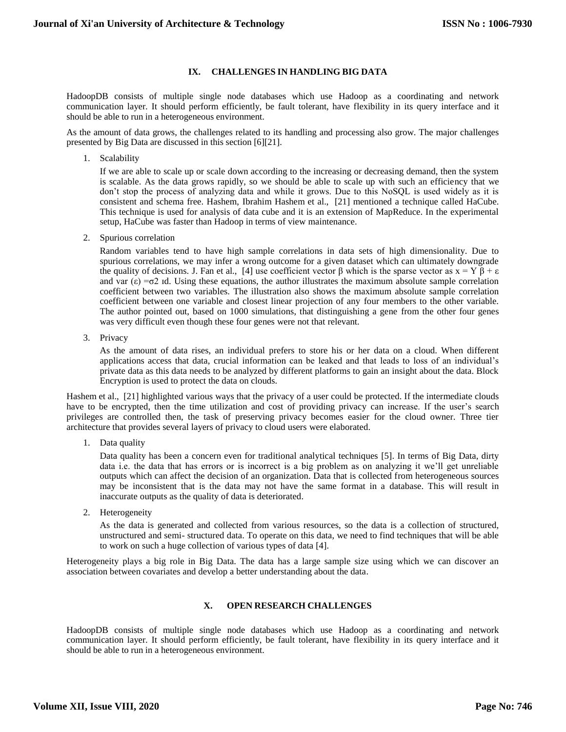# **IX. CHALLENGES IN HANDLING BIG DATA**

HadoopDB consists of multiple single node databases which use Hadoop as a coordinating and network communication layer. It should perform efficiently, be fault tolerant, have flexibility in its query interface and it should be able to run in a heterogeneous environment.

As the amount of data grows, the challenges related to its handling and processing also grow. The major challenges presented by Big Data are discussed in this section [6][21].

1. Scalability

If we are able to scale up or scale down according to the increasing or decreasing demand, then the system is scalable. As the data grows rapidly, so we should be able to scale up with such an efficiency that we don't stop the process of analyzing data and while it grows. Due to this NoSQL is used widely as it is consistent and schema free. Hashem, Ibrahim Hashem et al., [21] mentioned a technique called HaCube. This technique is used for analysis of data cube and it is an extension of MapReduce. In the experimental setup, HaCube was faster than Hadoop in terms of view maintenance.

2. Spurious correlation

Random variables tend to have high sample correlations in data sets of high dimensionality. Due to spurious correlations, we may infer a wrong outcome for a given dataset which can ultimately downgrade the quality of decisions. J. Fan et al., [4] use coefficient vector β which is the sparse vector as  $x = Y \beta + \varepsilon$ and var  $(\epsilon) = \sigma^2$  id. Using these equations, the author illustrates the maximum absolute sample correlation coefficient between two variables. The illustration also shows the maximum absolute sample correlation coefficient between one variable and closest linear projection of any four members to the other variable. The author pointed out, based on 1000 simulations, that distinguishing a gene from the other four genes was very difficult even though these four genes were not that relevant.

3. Privacy

As the amount of data rises, an individual prefers to store his or her data on a cloud. When different applications access that data, crucial information can be leaked and that leads to loss of an individual's private data as this data needs to be analyzed by different platforms to gain an insight about the data. Block Encryption is used to protect the data on clouds.

Hashem et al., [21] highlighted various ways that the privacy of a user could be protected. If the intermediate clouds have to be encrypted, then the time utilization and cost of providing privacy can increase. If the user's search privileges are controlled then, the task of preserving privacy becomes easier for the cloud owner. Three tier architecture that provides several layers of privacy to cloud users were elaborated.

1. Data quality

Data quality has been a concern even for traditional analytical techniques [5]. In terms of Big Data, dirty data i.e. the data that has errors or is incorrect is a big problem as on analyzing it we'll get unreliable outputs which can affect the decision of an organization. Data that is collected from heterogeneous sources may be inconsistent that is the data may not have the same format in a database. This will result in inaccurate outputs as the quality of data is deteriorated.

2. Heterogeneity

As the data is generated and collected from various resources, so the data is a collection of structured, unstructured and semi- structured data. To operate on this data, we need to find techniques that will be able to work on such a huge collection of various types of data [4].

Heterogeneity plays a big role in Big Data. The data has a large sample size using which we can discover an association between covariates and develop a better understanding about the data.

# **X. OPEN RESEARCH CHALLENGES**

HadoopDB consists of multiple single node databases which use Hadoop as a coordinating and network communication layer. It should perform efficiently, be fault tolerant, have flexibility in its query interface and it should be able to run in a heterogeneous environment.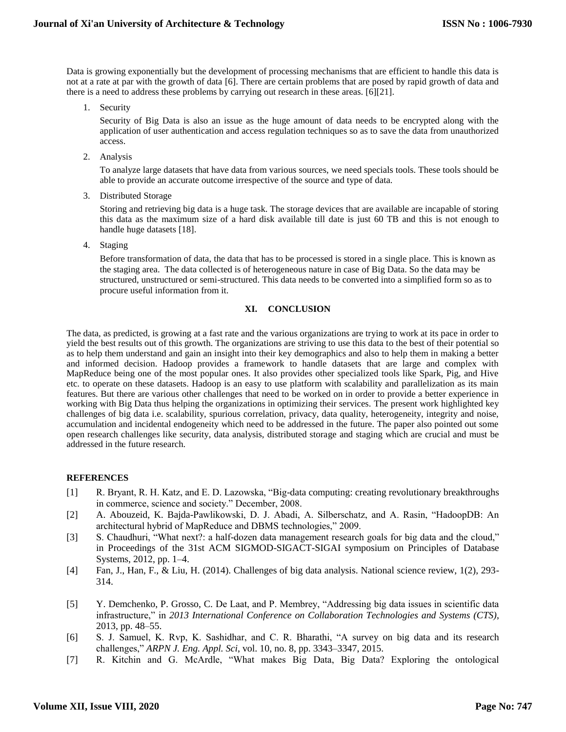Data is growing exponentially but the development of processing mechanisms that are efficient to handle this data is not at a rate at par with the growth of data [6]. There are certain problems that are posed by rapid growth of data and there is a need to address these problems by carrying out research in these areas. [6][21].

1. Security

Security of Big Data is also an issue as the huge amount of data needs to be encrypted along with the application of user authentication and access regulation techniques so as to save the data from unauthorized access.

2. Analysis

To analyze large datasets that have data from various sources, we need specials tools. These tools should be able to provide an accurate outcome irrespective of the source and type of data.

3. Distributed Storage

Storing and retrieving big data is a huge task. The storage devices that are available are incapable of storing this data as the maximum size of a hard disk available till date is just 60 TB and this is not enough to handle huge datasets [18].

4. Staging

Before transformation of data, the data that has to be processed is stored in a single place. This is known as the staging area. The data collected is of heterogeneous nature in case of Big Data. So the data may be structured, unstructured or semi-structured. This data needs to be converted into a simplified form so as to procure useful information from it.

#### **XI. CONCLUSION**

The data, as predicted, is growing at a fast rate and the various organizations are trying to work at its pace in order to yield the best results out of this growth. The organizations are striving to use this data to the best of their potential so as to help them understand and gain an insight into their key demographics and also to help them in making a better and informed decision. Hadoop provides a framework to handle datasets that are large and complex with MapReduce being one of the most popular ones. It also provides other specialized tools like Spark, Pig, and Hive etc. to operate on these datasets. Hadoop is an easy to use platform with scalability and parallelization as its main features. But there are various other challenges that need to be worked on in order to provide a better experience in working with Big Data thus helping the organizations in optimizing their services. The present work highlighted key challenges of big data i.e. scalability, spurious correlation, privacy, data quality, heterogeneity, integrity and noise, accumulation and incidental endogeneity which need to be addressed in the future. The paper also pointed out some open research challenges like security, data analysis, distributed storage and staging which are crucial and must be addressed in the future research.

## **REFERENCES**

- [1] R. Bryant, R. H. Katz, and E. D. Lazowska, "Big-data computing: creating revolutionary breakthroughs in commerce, science and society." December, 2008.
- [2] A. Abouzeid, K. Bajda-Pawlikowski, D. J. Abadi, A. Silberschatz, and A. Rasin, "HadoopDB: An architectural hybrid of MapReduce and DBMS technologies," 2009.
- [3] S. Chaudhuri, "What next?: a half-dozen data management research goals for big data and the cloud," in Proceedings of the 31st ACM SIGMOD-SIGACT-SIGAI symposium on Principles of Database Systems, 2012, pp. 1–4.
- [4] Fan, J., Han, F., & Liu, H. (2014). Challenges of big data analysis. National science review, 1(2), 293- 314.
- [5] Y. Demchenko, P. Grosso, C. De Laat, and P. Membrey, "Addressing big data issues in scientific data infrastructure," in *2013 International Conference on Collaboration Technologies and Systems (CTS)*, 2013, pp. 48–55.
- [6] S. J. Samuel, K. Rvp, K. Sashidhar, and C. R. Bharathi, "A survey on big data and its research challenges," *ARPN J. Eng. Appl. Sci*, vol. 10, no. 8, pp. 3343–3347, 2015.
- [7] R. Kitchin and G. McArdle, "What makes Big Data, Big Data? Exploring the ontological